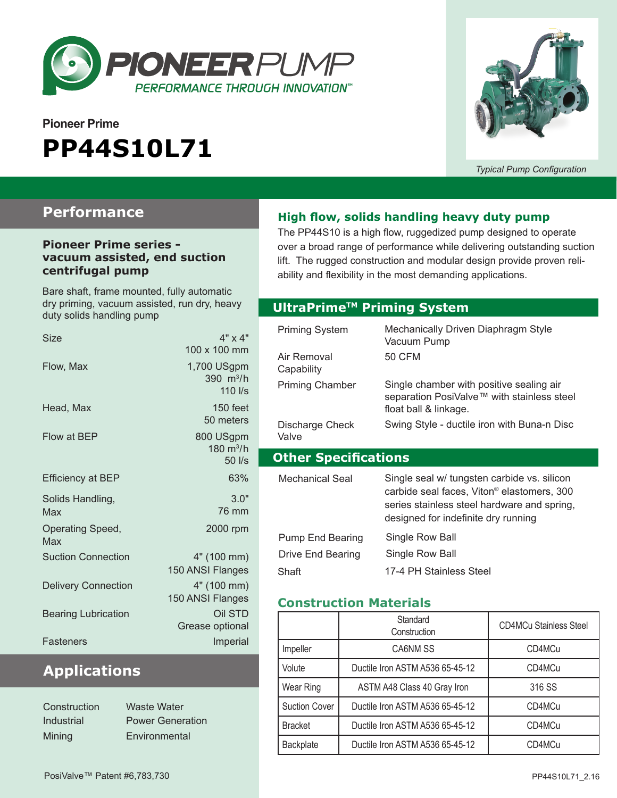

# **Pioneer Prime PP44S10L71**



*Typical Pump Configuration*

### **Performance**

#### **Pioneer Prime series vacuum assisted, end suction centrifugal pump**

Bare shaft, frame mounted, fully automatic dry priming, vacuum assisted, run dry, heavy duty solids handling pump

| <b>Size</b>                | $4" \times 4"$<br>100 x 100 mm                   |
|----------------------------|--------------------------------------------------|
| Flow, Max                  | 1,700 USgpm<br>390 $m^3/h$<br>$110$ $\text{I/s}$ |
| Head, Max                  | 150 feet<br>50 meters                            |
| Flow at BEP                | 800 USgpm<br>180 $m^3/h$<br>50 l/s               |
| <b>Efficiency at BEP</b>   | 63%                                              |
| Solids Handling,<br>Max    | 3.0"<br>76 mm                                    |
| Operating Speed,<br>Max    | 2000 rpm                                         |
| <b>Suction Connection</b>  | 4" (100 mm)<br>150 ANSI Flanges                  |
| <b>Delivery Connection</b> | 4" (100 mm)<br>150 ANSI Flanges                  |
| <b>Bearing Lubrication</b> | Oil STD<br>Grease optional                       |
| Fasteners                  | Imperial                                         |

### **Applications**

| Construction | Waste Water             |
|--------------|-------------------------|
| Industrial   | <b>Power Generation</b> |
| Mining       | Environmental           |

#### **High flow, solids handling heavy duty pump**

The PP44S10 is a high flow, ruggedized pump designed to operate over a broad range of performance while delivering outstanding suction lift. The rugged construction and modular design provide proven reliability and flexibility in the most demanding applications.

#### **Optional Priming System UltraPrimeTM Priming System**

| <b>Priming System</b><br>Air Removal<br>Capability | Mechanically Driven Diaphragm Style<br>Vacuum Pump<br>50 CFM                                                                                                                                |
|----------------------------------------------------|---------------------------------------------------------------------------------------------------------------------------------------------------------------------------------------------|
| <b>Priming Chamber</b>                             | Single chamber with positive sealing air<br>separation PosiValve™ with stainless steel<br>float ball & linkage.                                                                             |
| Discharge Check<br>Valve                           | Swing Style - ductile iron with Buna-n Disc                                                                                                                                                 |
|                                                    |                                                                                                                                                                                             |
| <b>Other Specifications</b>                        |                                                                                                                                                                                             |
| Mechanical Seal                                    | Single seal w/ tungsten carbide vs. silicon<br>carbide seal faces, Viton <sup>®</sup> elastomers, 300<br>series stainless steel hardware and spring,<br>designed for indefinite dry running |

#### **Construction Materials**

|                      | Standard<br>Construction        | <b>CD4MCu Stainless Steel</b> |
|----------------------|---------------------------------|-------------------------------|
| Impeller             | CA6NM SS                        | CD4MCu                        |
| Volute               | Ductile Iron ASTM A536 65-45-12 | CD4MCu                        |
| Wear Ring            | ASTM A48 Class 40 Gray Iron     | 316 SS                        |
| <b>Suction Cover</b> | Ductile Iron ASTM A536 65-45-12 | CD4MCu                        |
| <b>Bracket</b>       | Ductile Iron ASTM A536 65-45-12 | CD4MCu                        |
| <b>Backplate</b>     | Ductile Iron ASTM A536 65-45-12 | CD4MCu                        |